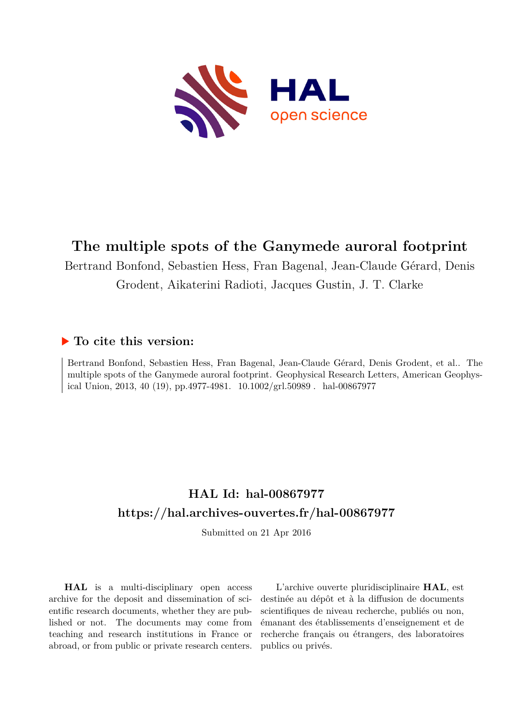

# **The multiple spots of the Ganymede auroral footprint**

Bertrand Bonfond, Sebastien Hess, Fran Bagenal, Jean-Claude Gérard, Denis Grodent, Aikaterini Radioti, Jacques Gustin, J. T. Clarke

### **To cite this version:**

Bertrand Bonfond, Sebastien Hess, Fran Bagenal, Jean-Claude Gérard, Denis Grodent, et al.. The multiple spots of the Ganymede auroral footprint. Geophysical Research Letters, American Geophysical Union, 2013, 40 (19), pp.4977-4981.  $10.1002/grl.50989$ . hal-00867977

## **HAL Id: hal-00867977 <https://hal.archives-ouvertes.fr/hal-00867977>**

Submitted on 21 Apr 2016

**HAL** is a multi-disciplinary open access archive for the deposit and dissemination of scientific research documents, whether they are published or not. The documents may come from teaching and research institutions in France or abroad, or from public or private research centers.

L'archive ouverte pluridisciplinaire **HAL**, est destinée au dépôt et à la diffusion de documents scientifiques de niveau recherche, publiés ou non, émanant des établissements d'enseignement et de recherche français ou étrangers, des laboratoires publics ou privés.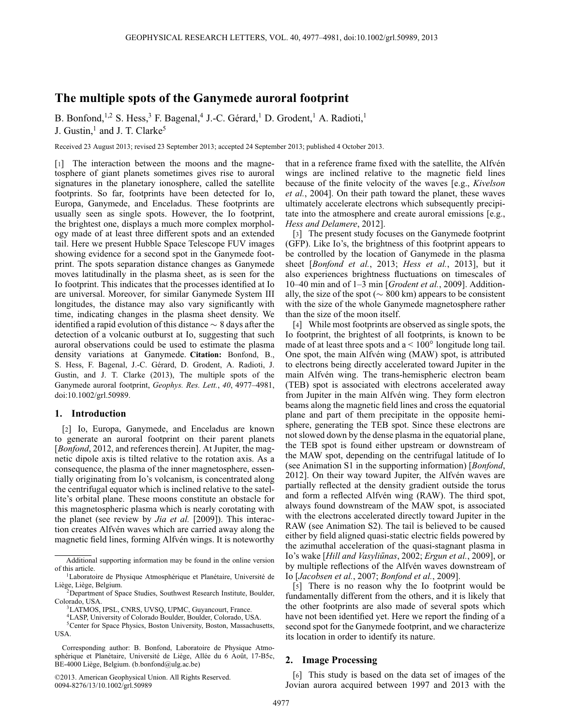### **The multiple spots of the Ganymede auroral footprint**

B. Bonfond,<sup>1,2</sup> S. Hess,<sup>3</sup> F. Bagenal,<sup>4</sup> J.-C. Gérard,<sup>1</sup> D. Grodent,<sup>1</sup> A. Radioti,<sup>1</sup>

J. Gustin, $<sup>1</sup>$  and J. T. Clarke<sup>5</sup></sup>

Received 23 August 2013; revised 23 September 2013; accepted 24 September 2013; published 4 October 2013.

[1] The interaction between the moons and the magnetosphere of giant planets sometimes gives rise to auroral signatures in the planetary ionosphere, called the satellite footprints. So far, footprints have been detected for Io, Europa, Ganymede, and Enceladus. These footprints are usually seen as single spots. However, the Io footprint, the brightest one, displays a much more complex morphology made of at least three different spots and an extended tail. Here we present Hubble Space Telescope FUV images showing evidence for a second spot in the Ganymede footprint. The spots separation distance changes as Ganymede moves latitudinally in the plasma sheet, as is seen for the Io footprint. This indicates that the processes identified at Io are universal. Moreover, for similar Ganymede System III longitudes, the distance may also vary significantly with time, indicating changes in the plasma sheet density. We identified a rapid evolution of this distance  $\sim 8$  days after the detection of a volcanic outburst at Io, suggesting that such auroral observations could be used to estimate the plasma density variations at Ganymede. **Citation:** Bonfond, B., S. Hess, F. Bagenal, J.-C. Gérard, D. Grodent, A. Radioti, J. Gustin, and J. T. Clarke (2013), The multiple spots of the Ganymede auroral footprint, *Geophys. Res. Lett.*, *40*, 4977–4981, doi:10.1002/grl.50989.

#### **1. Introduction**

[2] Io, Europa, Ganymede, and Enceladus are known to generate an auroral footprint on their parent planets [*Bonfond*, 2012, and references therein]. At Jupiter, the magnetic dipole axis is tilted relative to the rotation axis. As a consequence, the plasma of the inner magnetosphere, essentially originating from Io's volcanism, is concentrated along the centrifugal equator which is inclined relative to the satellite's orbital plane. These moons constitute an obstacle for this magnetospheric plasma which is nearly corotating with the planet (see review by *Jia et al.* [2009]). This interaction creates Alfvén waves which are carried away along the magnetic field lines, forming Alfvén wings. It is noteworthy

©2013. American Geophysical Union. All Rights Reserved. 0094-8276/13/10.1002/grl.50989

that in a reference frame fixed with the satellite, the Alfvén wings are inclined relative to the magnetic field lines because of the finite velocity of the waves [e.g., *Kivelson et al.*, 2004]. On their path toward the planet, these waves ultimately accelerate electrons which subsequently precipitate into the atmosphere and create auroral emissions [e.g., *Hess and Delamere*, 2012].

[3] The present study focuses on the Ganymede footprint (GFP). Like Io's, the brightness of this footprint appears to be controlled by the location of Ganymede in the plasma sheet [*Bonfond et al.*, 2013; *Hess et al.*, 2013], but it also experiences brightness fluctuations on timescales of 10–40 min and of 1–3 min [*Grodent et al.*, 2009]. Additionally, the size of the spot ( $\sim 800 \text{ km}$ ) appears to be consistent with the size of the whole Ganymede magnetosphere rather than the size of the moon itself.

[4] While most footprints are observed as single spots, the Io footprint, the brightest of all footprints, is known to be made of at least three spots and  $a < 100^\circ$  longitude long tail. One spot, the main Alfvén wing (MAW) spot, is attributed to electrons being directly accelerated toward Jupiter in the main Alfvén wing. The trans-hemispheric electron beam (TEB) spot is associated with electrons accelerated away from Jupiter in the main Alfvén wing. They form electron beams along the magnetic field lines and cross the equatorial plane and part of them precipitate in the opposite hemisphere, generating the TEB spot. Since these electrons are not slowed down by the dense plasma in the equatorial plane, the TEB spot is found either upstream or downstream of the MAW spot, depending on the centrifugal latitude of Io (see Animation S1 in the supporting information) [*Bonfond*, 2012]. On their way toward Jupiter, the Alfvén waves are partially reflected at the density gradient outside the torus and form a reflected Alfvén wing (RAW). The third spot, always found downstream of the MAW spot, is associated with the electrons accelerated directly toward Jupiter in the RAW (see Animation S2). The tail is believed to be caused either by field aligned quasi-static electric fields powered by the azimuthal acceleration of the quasi-stagnant plasma in Io's wake [*Hill and Vasyliunas ¯* , 2002; *Ergun et al.*, 2009], or by multiple reflections of the Alfvén waves downstream of Io [*Jacobsen et al.*, 2007; *Bonfond et al.*, 2009].

[5] There is no reason why the Io footprint would be fundamentally different from the others, and it is likely that the other footprints are also made of several spots which have not been identified yet. Here we report the finding of a second spot for the Ganymede footprint, and we characterize its location in order to identify its nature.

#### **2. Image Processing**

[6] This study is based on the data set of images of the Jovian aurora acquired between 1997 and 2013 with the

Additional supporting information may be found in the online version of this article.

<sup>&</sup>lt;sup>1</sup>Laboratoire de Physique Atmosphérique et Planétaire, Université de

Liège, Liège, Belgium.<br>
<sup>2</sup>Department of Space Studies, Southwest Research Institute, Boulder, Colorado, USA.

<sup>&</sup>lt;sup>3</sup>LATMOS, IPSL, CNRS, UVSQ, UPMC, Guyancourt, France.

<sup>4</sup>LASP, University of Colorado Boulder, Boulder, Colorado, USA.

<sup>5</sup>Center for Space Physics, Boston University, Boston, Massachusetts, USA.

Corresponding author: B. Bonfond, Laboratoire de Physique Atmosphérique et Planétaire, Université de Liège, Allée du 6 Août, 17-B5c, BE-4000 Liège, Belgium. (b.bonfond@ulg.ac.be)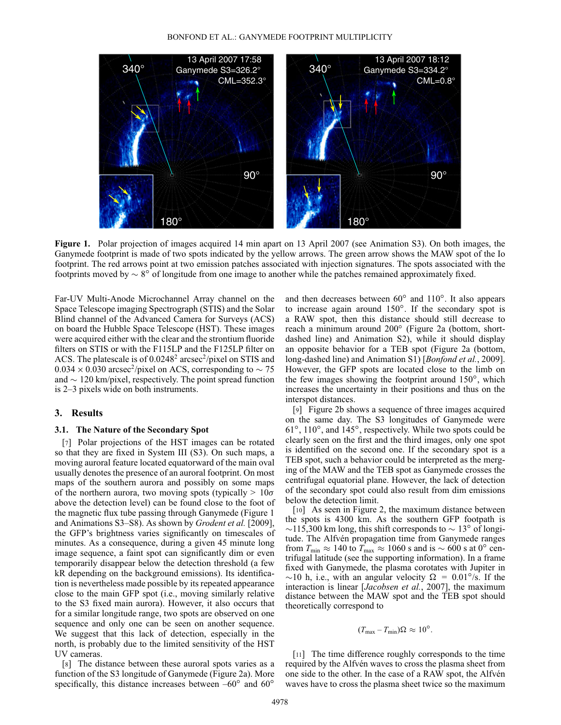

**Figure 1.** Polar projection of images acquired 14 min apart on 13 April 2007 (see Animation S3). On both images, the Ganymede footprint is made of two spots indicated by the yellow arrows. The green arrow shows the MAW spot of the Io footprint. The red arrows point at two emission patches associated with injection signatures. The spots associated with the footprints moved by  $\sim 8^{\circ}$  of longitude from one image to another while the patches remained approximately fixed.

Far-UV Multi-Anode Microchannel Array channel on the Space Telescope imaging Spectrograph (STIS) and the Solar Blind channel of the Advanced Camera for Surveys (ACS) on board the Hubble Space Telescope (HST). These images were acquired either with the clear and the strontium fluoride filters on STIS or with the F115LP and the F125LP filter on ACS. The platescale is of 0.0248<sup>2</sup> arcsec<sup>2</sup>/pixel on STIS and  $0.034 \times 0.030$  arcsec<sup>2</sup>/pixel on ACS, corresponding to  $\sim 75$ and  $\sim 120$  km/pixel, respectively. The point spread function is 2–3 pixels wide on both instruments.

#### **3. Results**

#### **3.1. The Nature of the Secondary Spot**

[7] Polar projections of the HST images can be rotated so that they are fixed in System III (S3). On such maps, a moving auroral feature located equatorward of the main oval usually denotes the presence of an auroral footprint. On most maps of the southern aurora and possibly on some maps of the northern aurora, two moving spots (typically  $> 10\sigma$ above the detection level) can be found close to the foot of the magnetic flux tube passing through Ganymede (Figure 1 and Animations S3–S8). As shown by *Grodent et al.* [2009], the GFP's brightness varies significantly on timescales of minutes. As a consequence, during a given 45 minute long image sequence, a faint spot can significantly dim or even temporarily disappear below the detection threshold (a few kR depending on the background emissions). Its identification is nevertheless made possible by its repeated appearance close to the main GFP spot (i.e., moving similarly relative to the S3 fixed main aurora). However, it also occurs that for a similar longitude range, two spots are observed on one sequence and only one can be seen on another sequence. We suggest that this lack of detection, especially in the north, is probably due to the limited sensitivity of the HST UV cameras.

[8] The distance between these auroral spots varies as a function of the S3 longitude of Ganymede (Figure 2a). More specifically, this distance increases between  $-60^\circ$  and  $60^\circ$ 

and then decreases between  $60^\circ$  and  $110^\circ$ . It also appears to increase again around  $150^\circ$ . If the secondary spot is a RAW spot, then this distance should still decrease to reach a minimum around 200° (Figure 2a (bottom, shortdashed line) and Animation S2), while it should display an opposite behavior for a TEB spot (Figure 2a (bottom, long-dashed line) and Animation S1) [*Bonfond et al.*, 2009]. However, the GFP spots are located close to the limb on the few images showing the footprint around  $150^\circ$ , which increases the uncertainty in their positions and thus on the interspot distances.

[9] Figure 2b shows a sequence of three images acquired on the same day. The S3 longitudes of Ganymede were  $61^\circ$ , 110 $^\circ$ , and 145 $^\circ$ , respectively. While two spots could be clearly seen on the first and the third images, only one spot is identified on the second one. If the secondary spot is a TEB spot, such a behavior could be interpreted as the merging of the MAW and the TEB spot as Ganymede crosses the centrifugal equatorial plane. However, the lack of detection of the secondary spot could also result from dim emissions below the detection limit.

[10] As seen in Figure 2, the maximum distance between the spots is 4300 km. As the southern GFP footpath is  $\sim$ 115,300 km long, this shift corresponds to  $\sim$  13<sup>°</sup> of longitude. The Alfvén propagation time from Ganymede ranges from  $T_{\text{min}} \approx 140$  to  $T_{\text{max}} \approx 1060$  s and is  $\sim 600$  s at 0<sup>°</sup> centrifugal latitude (see the supporting information). In a frame fixed with Ganymede, the plasma corotates with Jupiter in ~10 h, i.e., with an angular velocity  $\Omega = 0.01^{\circ}/s$ . If the interaction is linear [*Jacobsen et al.*, 2007], the maximum distance between the MAW spot and the TEB spot should theoretically correspond to

$$
(T_{\text{max}} - T_{\text{min}})\Omega \approx 10^{\circ}.
$$

[11] The time difference roughly corresponds to the time required by the Alfvén waves to cross the plasma sheet from one side to the other. In the case of a RAW spot, the Alfvén waves have to cross the plasma sheet twice so the maximum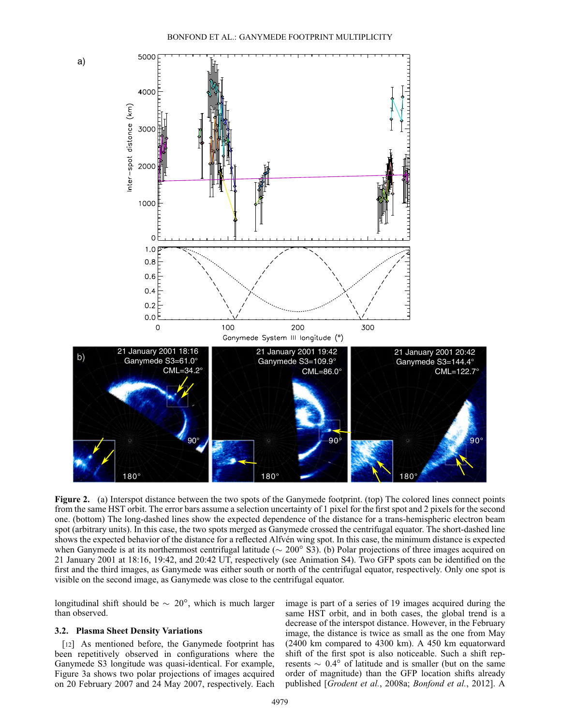

**Figure 2.** (a) Interspot distance between the two spots of the Ganymede footprint. (top) The colored lines connect points from the same HST orbit. The error bars assume a selection uncertainty of 1 pixel for the first spot and 2 pixels for the second one. (bottom) The long-dashed lines show the expected dependence of the distance for a trans-hemispheric electron beam spot (arbitrary units). In this case, the two spots merged as Ganymede crossed the centrifugal equator. The short-dashed line shows the expected behavior of the distance for a reflected Alfvén wing spot. In this case, the minimum distance is expected when Ganymede is at its northernmost centrifugal latitude ( $\sim 200^\circ$  S3). (b) Polar projections of three images acquired on 21 January 2001 at 18:16, 19:42, and 20:42 UT, respectively (see Animation S4). Two GFP spots can be identified on the first and the third images, as Ganymede was either south or north of the centrifugal equator, respectively. Only one spot is visible on the second image, as Ganymede was close to the centrifugal equator.

longitudinal shift should be  $\sim 20^{\circ}$ , which is much larger than observed.

#### **3.2. Plasma Sheet Density Variations**

[12] As mentioned before, the Ganymede footprint has been repetitively observed in configurations where the Ganymede S3 longitude was quasi-identical. For example, Figure 3a shows two polar projections of images acquired on 20 February 2007 and 24 May 2007, respectively. Each image is part of a series of 19 images acquired during the same HST orbit, and in both cases, the global trend is a decrease of the interspot distance. However, in the February image, the distance is twice as small as the one from May (2400 km compared to 4300 km). A 450 km equatorward shift of the first spot is also noticeable. Such a shift represents  $\sim 0.4^\circ$  of latitude and is smaller (but on the same order of magnitude) than the GFP location shifts already published [*Grodent et al.*, 2008a; *Bonfond et al.*, 2012]. A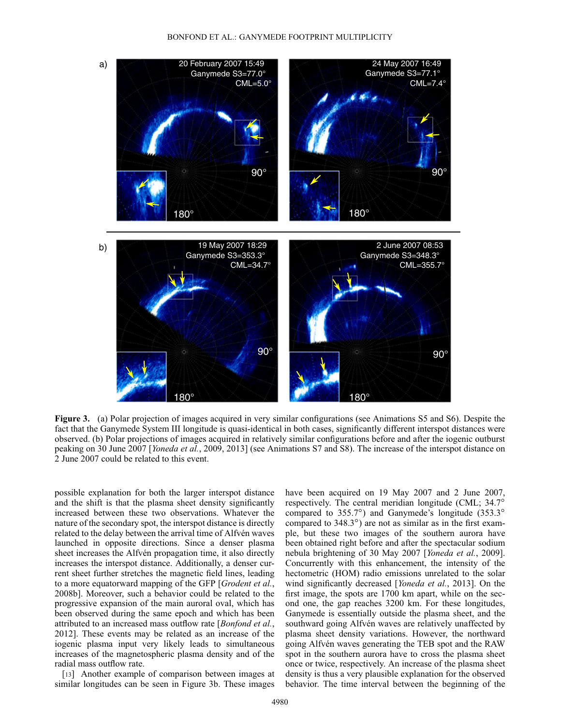

**Figure 3.** (a) Polar projection of images acquired in very similar configurations (see Animations S5 and S6). Despite the fact that the Ganymede System III longitude is quasi-identical in both cases, significantly different interspot distances were observed. (b) Polar projections of images acquired in relatively similar configurations before and after the iogenic outburst peaking on 30 June 2007 [*Yoneda et al.*, 2009, 2013] (see Animations S7 and S8). The increase of the interspot distance on 2 June 2007 could be related to this event.

possible explanation for both the larger interspot distance and the shift is that the plasma sheet density significantly increased between these two observations. Whatever the nature of the secondary spot, the interspot distance is directly related to the delay between the arrival time of Alfvén waves launched in opposite directions. Since a denser plasma sheet increases the Alfvén propagation time, it also directly increases the interspot distance. Additionally, a denser current sheet further stretches the magnetic field lines, leading to a more equatorward mapping of the GFP [*Grodent et al.*, 2008b]. Moreover, such a behavior could be related to the progressive expansion of the main auroral oval, which has been observed during the same epoch and which has been attributed to an increased mass outflow rate [*Bonfond et al.*, 2012]. These events may be related as an increase of the iogenic plasma input very likely leads to simultaneous increases of the magnetospheric plasma density and of the radial mass outflow rate.

[13] Another example of comparison between images at similar longitudes can be seen in Figure 3b. These images have been acquired on 19 May 2007 and 2 June 2007, respectively. The central meridian longitude (CML; 34.7° compared to  $355.7^\circ$ ) and Ganymede's longitude (353.3 $^\circ$ ) compared to  $348.3^\circ$ ) are not as similar as in the first example, but these two images of the southern aurora have been obtained right before and after the spectacular sodium nebula brightening of 30 May 2007 [*Yoneda et al.*, 2009]. Concurrently with this enhancement, the intensity of the hectometric (HOM) radio emissions unrelated to the solar wind significantly decreased [*Yoneda et al.*, 2013]. On the first image, the spots are 1700 km apart, while on the second one, the gap reaches 3200 km. For these longitudes, Ganymede is essentially outside the plasma sheet, and the southward going Alfvén waves are relatively unaffected by plasma sheet density variations. However, the northward going Alfvén waves generating the TEB spot and the RAW spot in the southern aurora have to cross the plasma sheet once or twice, respectively. An increase of the plasma sheet density is thus a very plausible explanation for the observed behavior. The time interval between the beginning of the